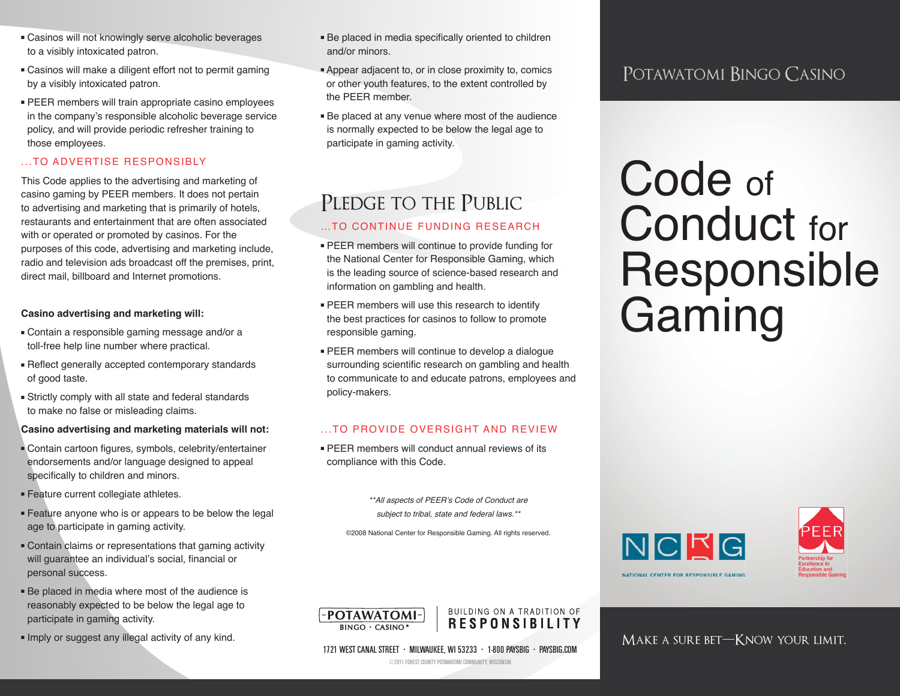- Casinos will not knowingly serve alcoholic beverages to a visibly intoxicated patron.
- Casinos will make a diligent effort not to permit gaming by a visibly intoxicated patron.
- PEER members will train appropriate casino employees in the company's responsible alcoholic beverage service policy, and will provide periodic refresher training to those employees.

### ...TO ADVERTISE RESPONSIBLY

This Code applies to the advertising and marketing of casino gaming by PEER members. It does not pertain to advertising and marketing that is primarily of hotels, restaurants and entertainment that are often associated with or operated or promoted by casinos. For the purposes of this code, advertising and marketing include, radio and television ads broadcast off the premises, print, direct mail, billboard and Internet promotions.

### **Casino advertising and marketing will:**

- Contain a responsible gaming message and/or a toll-free help line number where practical.
- Reflect generally accepted contemporary standards of good taste.
- Strictly comply with all state and federal standards to make no false or misleading claims.

#### **Casino advertising and marketing materials will not:**

- Contain cartoon figures, symbols, celebrity/entertainer endorsements and/or language designed to appeal specifically to children and minors.
- Feature current collegiate athletes.
- Feature anyone who is or appears to be below the legal age to participate in gaming activity.
- Contain claims or representations that gaming activity will guarantee an individual's social, financial or personal success.
- Be placed in media where most of the audience is reasonably expected to be below the legal age to participate in gaming activity.
- Imply or suggest any illegal activity of any kind.
- Be placed in media specifically oriented to children and/or minors.
- Appear adjacent to, or in close proximity to, comics or other youth features, to the extent controlled by the PEER member.
- Be placed at any venue where most of the audience is normally expected to be below the legal age to participate in gaming activity.

## PLEDGE TO THE PUBLIC

### …TO CONTINUE FUNDING RESEARCH

- PEER members will continue to provide funding for the National Center for Responsible Gaming, which is the leading source of science-based research and information on gambling and health.
- PEER members will use this research to identify the best practices for casinos to follow to promote responsible gaming.
- PEER members will continue to develop a dialogue surrounding scientific research on gambling and health to communicate to and educate patrons, employees and policy-makers.

### ...TO PROVIDE OVERSIGHT AND REVIEW

■ PEER members will conduct annual reviews of its compliance with this Code.

> *\*\*All aspects of PEER's Code of Conduct are subject to tribal, state and federal laws.\*\**

©2008 National Center for Responsible Gaming. All rights reserved.

NCRG NATIONAL CENTER FOR RESPONSIBLE GAMING



### Make a sure bet—Know your limit.

## Potawatomi Bingo Casino

# Code of Conduct for Responsible Gaming

**RESPONSIBILITY**  $RINGO \cdot CASINO$ 

**POTAWATOMI-**

1721 WEST CANAL STREET • MILWAUKEE, WI 53233 • 1-800 PAYSBIG • PAYSBIG.COM

BUILDING ON A TRADITION OF